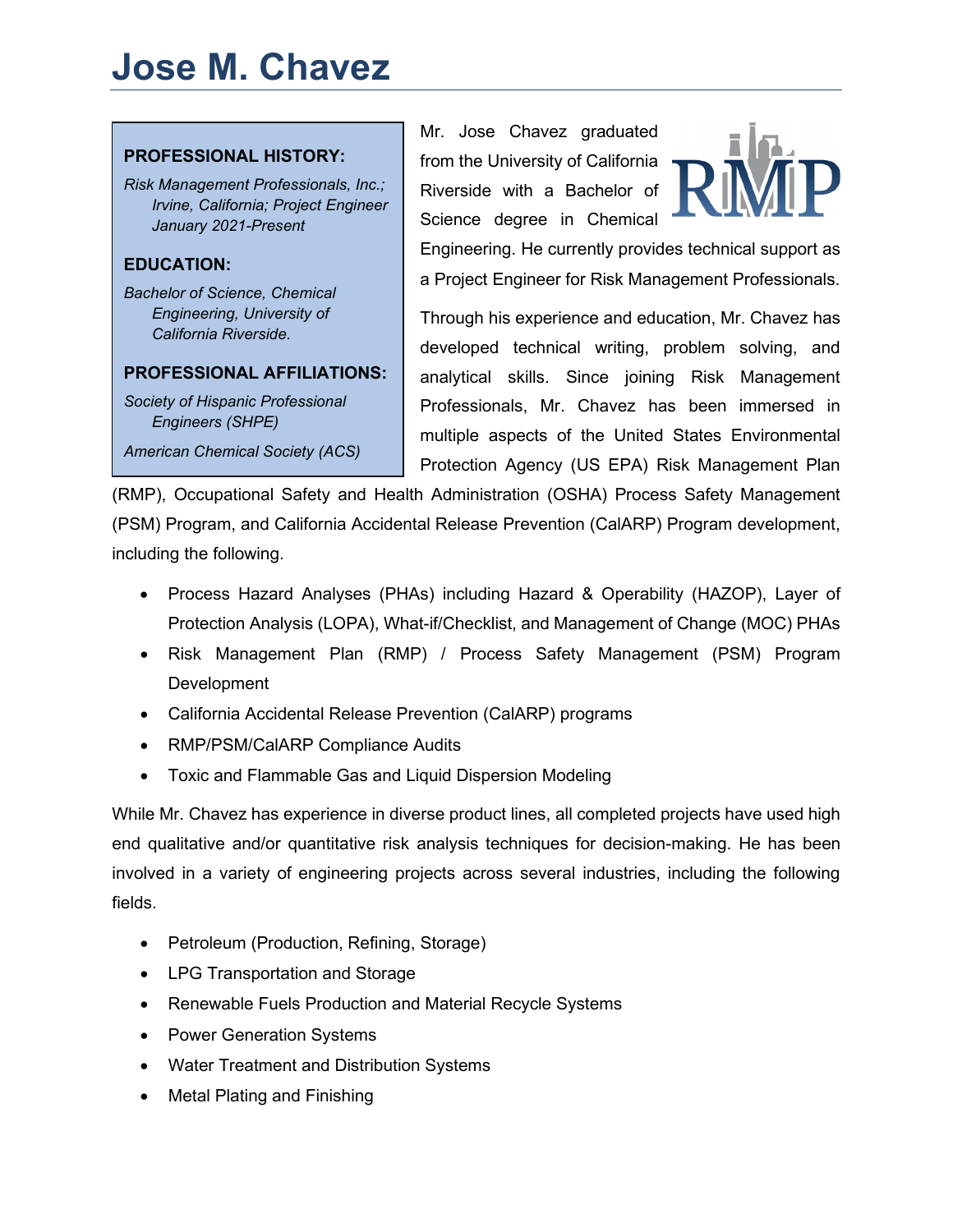# **Jose M. Chavez**



*American Chemical Society (ACS)*

Mr. Jose Chavez graduated from the University of California Riverside with a Bachelor of Science degree in Chemical



Engineering. He currently provides technical support as a Project Engineer for Risk Management Professionals.

Through his experience and education, Mr. Chavez has developed technical writing, problem solving, and analytical skills. Since joining Risk Management Professionals, Mr. Chavez has been immersed in multiple aspects of the United States Environmental Protection Agency (US EPA) Risk Management Plan

(RMP), Occupational Safety and Health Administration (OSHA) Process Safety Management (PSM) Program, and California Accidental Release Prevention (CalARP) Program development, including the following.

- Process Hazard Analyses (PHAs) including Hazard & Operability (HAZOP), Layer of Protection Analysis (LOPA), What-if/Checklist, and Management of Change (MOC) PHAs
- Risk Management Plan (RMP) / Process Safety Management (PSM) Program **Development**
- California Accidental Release Prevention (CalARP) programs
- RMP/PSM/CalARP Compliance Audits
- Toxic and Flammable Gas and Liquid Dispersion Modeling

While Mr. Chavez has experience in diverse product lines, all completed projects have used high end qualitative and/or quantitative risk analysis techniques for decision-making. He has been involved in a variety of engineering projects across several industries, including the following fields.

- Petroleum (Production, Refining, Storage)
- LPG Transportation and Storage
- Renewable Fuels Production and Material Recycle Systems
- Power Generation Systems
- Water Treatment and Distribution Systems
- Metal Plating and Finishing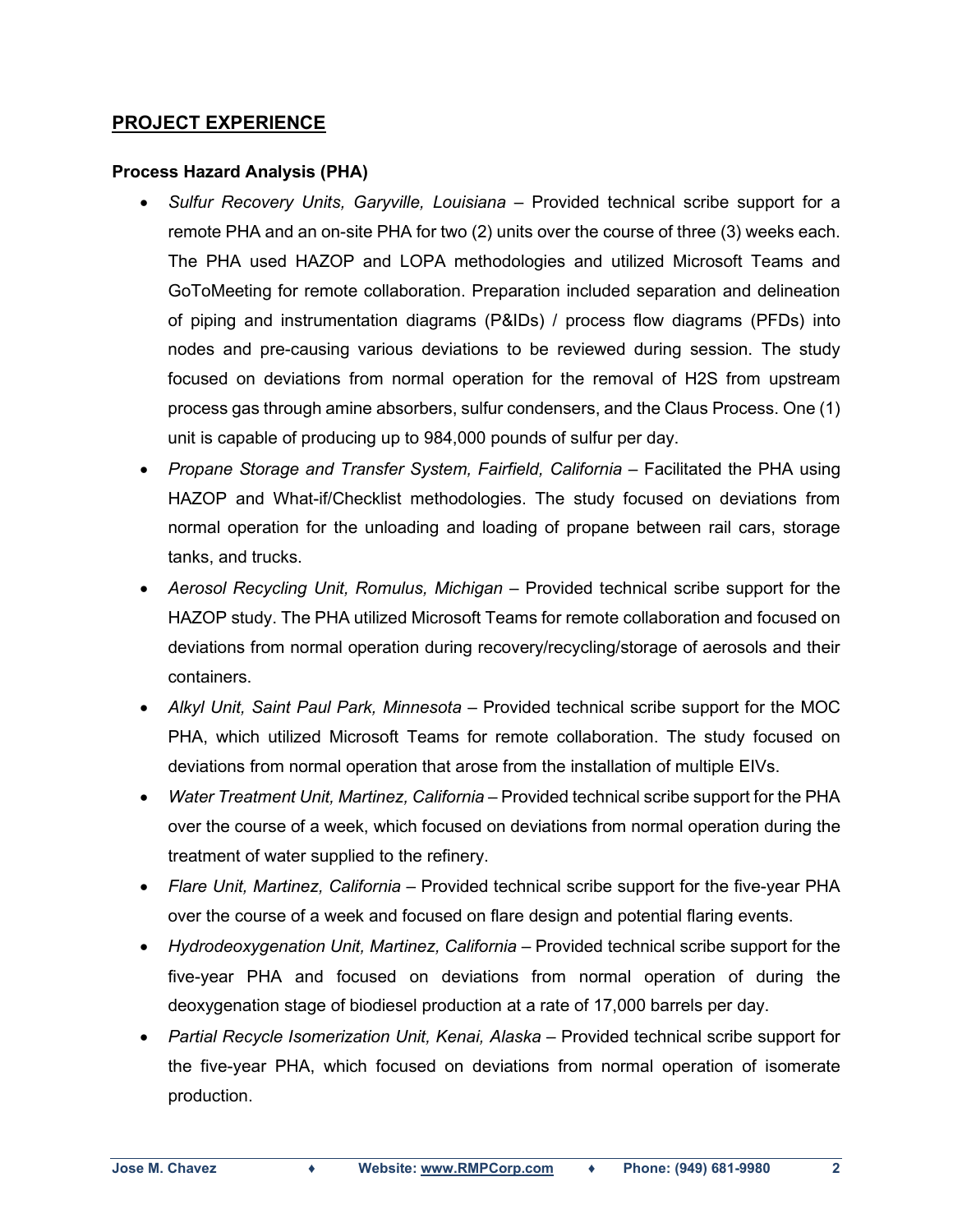## **PROJECT EXPERIENCE**

#### **Process Hazard Analysis (PHA)**

- *Sulfur Recovery Units, Garyville, Louisiana*  Provided technical scribe support for a remote PHA and an on-site PHA for two (2) units over the course of three (3) weeks each. The PHA used HAZOP and LOPA methodologies and utilized Microsoft Teams and GoToMeeting for remote collaboration. Preparation included separation and delineation of piping and instrumentation diagrams (P&IDs) / process flow diagrams (PFDs) into nodes and pre-causing various deviations to be reviewed during session. The study focused on deviations from normal operation for the removal of H2S from upstream process gas through amine absorbers, sulfur condensers, and the Claus Process. One (1) unit is capable of producing up to 984,000 pounds of sulfur per day.
- *Propane Storage and Transfer System, Fairfield, California Facilitated the PHA using* HAZOP and What-if/Checklist methodologies. The study focused on deviations from normal operation for the unloading and loading of propane between rail cars, storage tanks, and trucks.
- *Aerosol Recycling Unit, Romulus, Michigan –* Provided technical scribe support for the HAZOP study. The PHA utilized Microsoft Teams for remote collaboration and focused on deviations from normal operation during recovery/recycling/storage of aerosols and their containers.
- *Alkyl Unit, Saint Paul Park, Minnesota –* Provided technical scribe support for the MOC PHA, which utilized Microsoft Teams for remote collaboration. The study focused on deviations from normal operation that arose from the installation of multiple EIVs.
- *Water Treatment Unit, Martinez, California* Provided technical scribe support for the PHA over the course of a week, which focused on deviations from normal operation during the treatment of water supplied to the refinery.
- *Flare Unit, Martinez, California*  Provided technical scribe support for the five-year PHA over the course of a week and focused on flare design and potential flaring events.
- *Hydrodeoxygenation Unit, Martinez, California* Provided technical scribe support for the five-year PHA and focused on deviations from normal operation of during the deoxygenation stage of biodiesel production at a rate of 17,000 barrels per day.
- *Partial Recycle Isomerization Unit, Kenai, Alaska* Provided technical scribe support for the five-year PHA, which focused on deviations from normal operation of isomerate production.